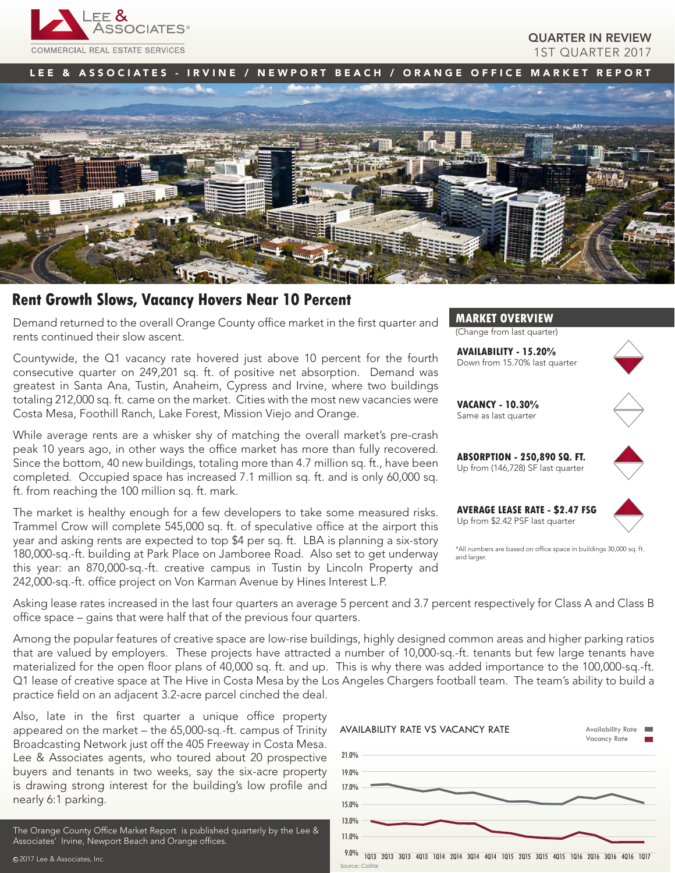

# QUARTER IN REVIEW 1ST QUARTER 2017

LEE & ASSOCIATES - IRVINE / NEWPORT BEACH / ORANGE OFFICE MARKET REPORT



# **Rent Growth Slows, Vacancy Hovers Near 10 Percent**

Demand returned to the overall Orange County office market in the first quarter and rents continued their slow ascent.

Countywide, the Q1 vacancy rate hovered just above 10 percent for the fourth consecutive quarter on 249,201 sq. ft. of positive net absorption. Demand was greatest in Santa Ana, Tustin, Anaheim, Cypress and Irvine, where two buildings totaling 212,000 sq. ft. came on the market. Cities with the most new vacancies were Costa Mesa, Foothill Ranch, Lake Forest, Mission Viejo and Orange.

While average rents are a whisker shy of matching the overall market's pre-crash peak 10 years ago, in other ways the office market has more than fully recovered. Since the bottom, 40 new buildings, totaling more than 4.7 million sq. ft., have been completed. Occupied space has increased 7.1 million sq. ft. and is only 60,000 sq. ft. from reaching the 100 million sq. ft. mark.

The market is healthy enough for a few developers to take some measured risks. Trammel Crow will complete 545,000 sq. ft. of speculative office at the airport this year and asking rents are expected to top \$4 per sq. ft. LBA is planning a six-story 180,000-sq.-ft. building at Park Place on Jamboree Road. Also set to get underway this year: an 870,000-sq.-ft. creative campus in Tustin by Lincoln Property and 242,000-sq.-ft. office project on Von Karman Avenue by Hines Interest L.P.



Asking lease rates increased in the last four quarters an average 5 percent and 3.7 percent respectively for Class A and Class B office space – gains that were half that of the previous four quarters.

Among the popular features of creative space are low-rise buildings, highly designed common areas and higher parking ratios that are valued by employers. These projects have attracted a number of 10,000-sq.-ft. tenants but few large tenants have materialized for the open floor plans of 40,000 sq. ft. and up. This is why there was added importance to the 100,000-sq.-ft. Q1 lease of creative space at The Hive in Costa Mesa by the Los Angeles Chargers football team. The team's ability to build a practice field on an adjacent 3.2-acre parcel cinched the deal.

Also, late in the first quarter a unique office property appeared on the market – the 65,000-sq.-ft. campus of Trinity Broadcasting Network just off the 405 Freeway in Costa Mesa. Lee & Associates agents, who toured about 20 prospective buyers and tenants in two weeks, say the six-acre property is drawing strong interest for the building's low profile and nearly 6:1 parking.

The Orange County Office Market Report is published quarterly by the Lee & Associates' Irvine, Newport Beach and Orange offices.



**MARKET OVERVIEW** (Change from last quarter)

**AVAILABILITY - 15.20%**

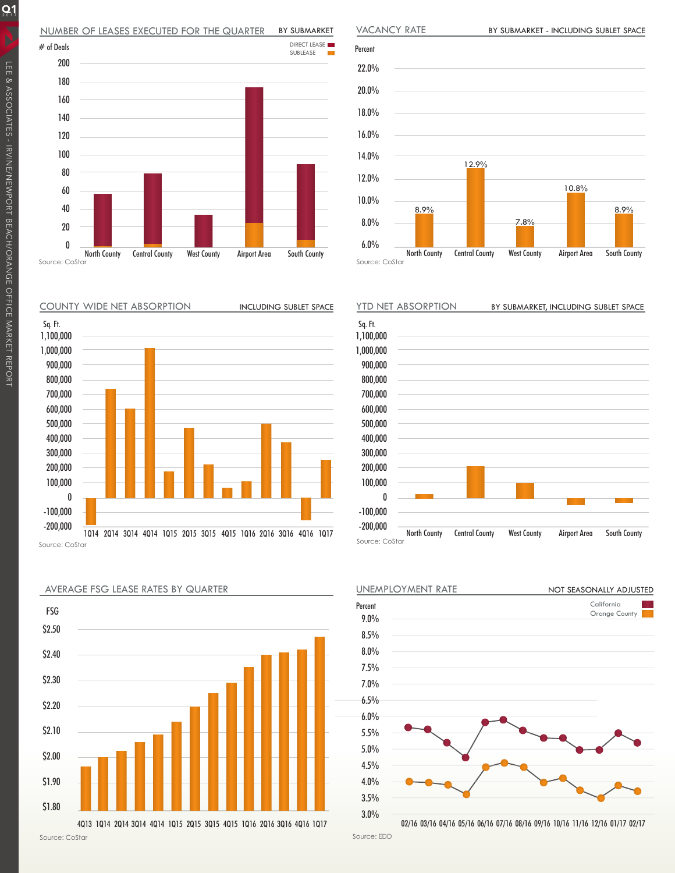#### NUMBER OF LEASES EXECUTED FOR THE QUARTER BY SUBMARKET





BY SUBMARKET - INCLUDING SUBLET SPACE

Source: CoStar

VACANCY RATE

1,100,000

Sq. Ft.

COUNTY WIDE NET ABSORPTION







<sup>02/16</sup> 03/16 04/16 05/16 06/16 07/16 08/16 09/16 10/16 11/16 12/16 01/17 02/17

Source: EDD

 $Q_1$ 

AVERAGE FSG LEASE RATES BY QUARTER

\$2.50 \$2.40 \$2.30 \$2.20 \$2.10 \$2.00 \$1.90 \$1.80 FSG 4Q13 1Q14 2Q14 3Q14 4Q14 1Q15 2Q15 3Q15 4Q15 1Q16 2Q16 3Q16 4Q16 1Q17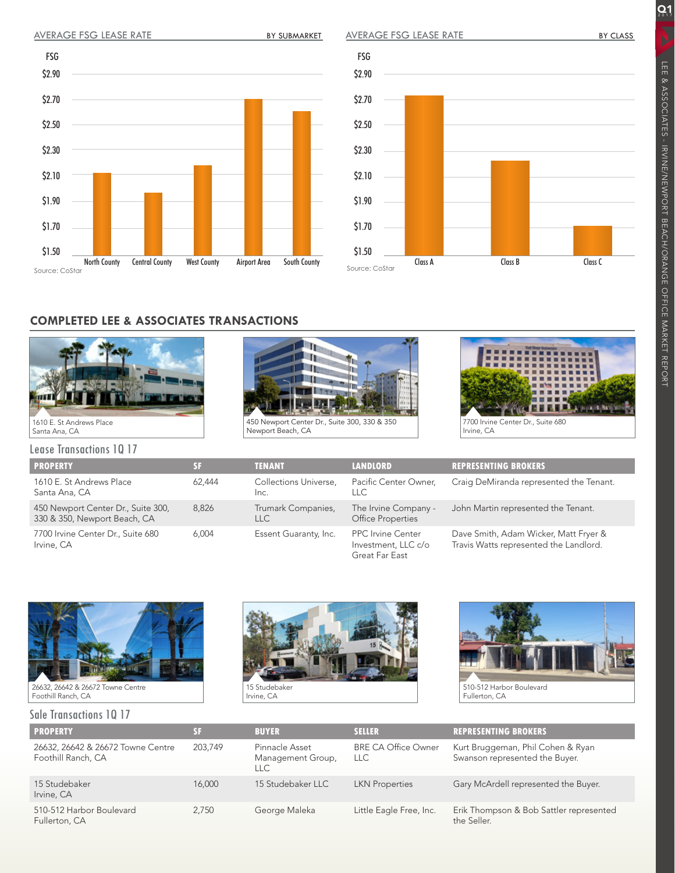# AVERAGE FSG LEASE RATE BY SUBMARKET

AVERAGE FSG LEASE RATE

 $Q_1$ 





# **COMPLETED LEE & ASSOCIATES TRANSACTIONS**





Newport Beach, CA



Irvine, CA

Lease Transactions 1Q 17

| <b>PROPERTY</b>                                                             | 31                                      | <b>TENANT</b>                    | <b>LANDLORD</b>                                                   | <b>REPRESENTING BROKERS</b>                                                     |  |  |  |  |
|-----------------------------------------------------------------------------|-----------------------------------------|----------------------------------|-------------------------------------------------------------------|---------------------------------------------------------------------------------|--|--|--|--|
| 1610 E. St Andrews Place<br>Santa Ana, CA                                   | Collections Universe,<br>62,444<br>Inc. |                                  | Pacific Center Owner,<br>LLC.                                     | Craig DeMiranda represented the Tenant.                                         |  |  |  |  |
| 450 Newport Center Dr., Suite 300,<br>8.826<br>330 & 350, Newport Beach, CA |                                         | Trumark Companies,<br><b>LLC</b> | The Irvine Company -<br>Office Properties                         | John Martin represented the Tenant.                                             |  |  |  |  |
| 7700 Irvine Center Dr., Suite 680<br>6.004<br>Irvine, CA                    |                                         | Essent Guaranty, Inc.            | <b>PPC</b> Irvine Center<br>Investment, LLC c/o<br>Great Far East | Dave Smith, Adam Wicker, Matt Fryer &<br>Travis Watts represented the Landlord. |  |  |  |  |



26632, 26642 & 26672 Towne Centre Foothill Ranch, CA

#### Sale Transactions 1Q 17





| <b>PROPERTY</b>                                         | SF      | <b>BUYER</b>                               | <b>SELLER</b>                      | <b>REPRESENTING BROKERS</b>                                         |
|---------------------------------------------------------|---------|--------------------------------------------|------------------------------------|---------------------------------------------------------------------|
| 26632, 26642 & 26672 Towne Centre<br>Foothill Ranch, CA | 203.749 | Pinnacle Asset<br>Management Group,<br>LLC | <b>BRE CA Office Owner</b><br>LLC. | Kurt Bruggeman, Phil Cohen & Ryan<br>Swanson represented the Buyer. |
| 15 Studebaker<br>Irvine, CA                             | 16,000  | 15 Studebaker LLC                          | <b>LKN</b> Properties              | Gary McArdell represented the Buyer.                                |
| 510-512 Harbor Boulevard<br>Fullerton, CA               | 2.750   | George Maleka                              | Little Eagle Free, Inc.            | Erik Thompson & Bob Sattler represented<br>the Seller.              |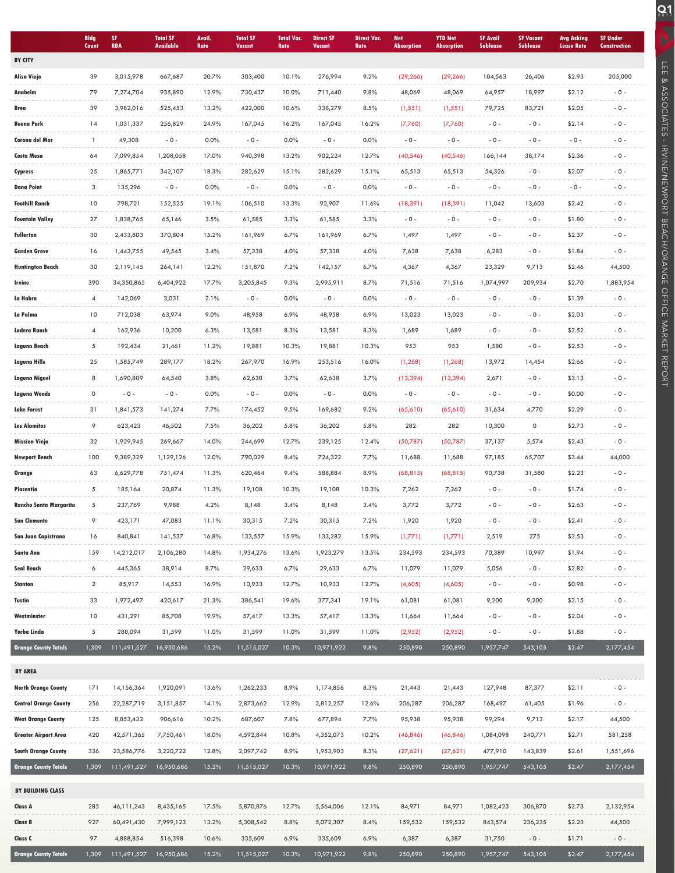|                               | <b>Bldg</b><br>Count | SF.<br><b>RBA</b> | <b>Total SF</b><br><b>Available</b> | <b>Avail</b><br>Rate | <b>Total SF</b><br><b>Vacant</b> | <b>Total Vac.</b><br>Rate | <b>Direct SF</b><br><b>Vacant</b> | <b>Direct Vac.</b><br>Rate | <b>Net</b><br><b>Absorption</b> | <b>YTD Net</b><br><b>Absorption</b> | <b>SF Avail</b><br><b>Sublease</b> | <b>SF Vacant</b><br><b>Sublease</b> | <b>Avg Asking</b><br><b>Lease Rate</b> | <b>SF Under</b><br><b>Construction</b> |
|-------------------------------|----------------------|-------------------|-------------------------------------|----------------------|----------------------------------|---------------------------|-----------------------------------|----------------------------|---------------------------------|-------------------------------------|------------------------------------|-------------------------------------|----------------------------------------|----------------------------------------|
| <b>BY CITY</b>                |                      |                   |                                     |                      |                                  |                           |                                   |                            |                                 |                                     |                                    |                                     |                                        |                                        |
| Aliso Viejo                   | 39                   | 3,015,978         | 667,687                             | 20.7%                | 303,400                          | 10.1%                     | 276,994                           | 9.2%                       | (29, 266)                       | (29, 266)                           | 104,563                            | 26,406                              | \$2.93                                 | 205,000                                |
| Anaheim                       | 79                   | 7,274,704         | 935,890                             | 12.9%                | 730,437                          | 10.0%                     | 711,440                           | 9.8%                       | 48,069                          | 48,069                              | 64,957                             | 18,997                              | \$2.12                                 | $-0 -$                                 |
| Brea                          | 39                   | 3,982,016         | 525,453                             | 13.2%                | 422,000                          | 10.6%                     | 338,279                           | 8.5%                       | (1, 551)                        | (1, 551)                            | 79,725                             | 83,721                              | \$2.05                                 | $-0 -$                                 |
| <b>Buena Park</b>             | 14                   | 1,031,337         | 256,829                             | 24.9%                | 167,045                          | 16.2%                     | 167,045                           | 16.2%                      | (7,760)                         | (7,760)                             | $-0-$                              | $-0 -$                              | \$2.14                                 | $-0 -$                                 |
| Corona del Mar                | -1                   | 49,308            | $-0 -$                              | 0.0%                 | $-0 -$                           | 0.0%                      | $-0 -$                            | 0.0%                       | $-0 -$                          | $-0 -$                              | $-0 -$                             | $-0 -$                              | $-0 -$                                 | $-0-$                                  |
| Costa Mesa                    | 64                   | 7,099,854         | 1,208,058                           | 17.0%                | 940,398                          | 13.2%                     | 902,224                           | 12.7%                      | (40, 546)                       | (40, 546)                           | 166,144                            | 38,174                              | \$2.36                                 | $-0 -$                                 |
| Cypress                       | 25                   | 1,865,771         | 342,107                             | 18.3%                | 282,629                          | 15.1%                     | 282,629                           | 15.1%                      | 65,513                          | 65,513                              | 54,326                             | $-0 -$                              | \$2.07                                 | $-0 -$                                 |
| <b>Dana Point</b>             | 3                    | 135,296           | $-0 -$                              | 0.0%                 | $-0 -$                           | 0.0%                      | $-0 -$                            | 0.0%                       | $-0 -$                          | $-0 -$                              | $-0 -$                             | $-0 -$                              | $-0 -$                                 | $-0 -$                                 |
| <b>Foothill Ranch</b>         | 10                   | 798,721           | 152,525                             | 19.1%                | 106,510                          | 13.3%                     | 92,907                            | 11.6%                      | (18, 391)                       | (18, 391)                           | 11,042                             | 13,603                              | \$2.42                                 | $-0 -$                                 |
| <b>Fountain Valley</b>        | 27                   | 1,838,765         | 65,146                              | 3.5%                 | 61,585                           | 3.3%                      | 61,585                            | 3.3%                       | $-0 -$                          | $-0 -$                              | $-0 -$                             | $-0 -$                              | \$1.80                                 | $-0 -$                                 |
| <b>Fullerton</b>              | 30                   | 2,433,803         | 370,804                             | 15.2%                | 161,969                          | 6.7%                      | 161,969                           | 6.7%                       | 1,497                           | 1,497                               | $-0 -$                             | $-0-$                               | \$2.37                                 | $-0 -$                                 |
| <b>Garden Grove</b>           | 16                   | 1,443,755         | 49,545                              | 3.4%                 | 57,338                           | 4.0%                      | 57,338                            | 4.0%                       | 7,638                           | 7,638                               | 6,283                              | $-0 -$                              | \$1.84                                 | $-0 -$                                 |
| Huntington Beach              | 30                   | 2,119,145         | 264,141                             | 12.2%                | 151,870                          | 7.2%                      | 142,157                           | 6.7%                       | 4,367                           | 4,367                               | 23,329                             | 9,713                               | \$2.46                                 | 44,500                                 |
| Irvine                        | 390                  | 34,350,865        | 6,404,922                           | 17.7%                | 3,205,845                        | 9.3%                      | 2,995,911                         | 8.7%                       | 71,516                          | 71,516                              | 1,074,997                          | 209,934                             | \$2.70                                 | 1,883,954                              |
| La Habra                      | $\overline{4}$       | 142,069           | 3,031                               | 2.1%                 | $-0-$                            | 0.0%                      | $-0 -$                            | 0.0%                       | $-0 -$                          | $-0 -$                              | $-0 -$                             | $-0 -$                              | \$1.39                                 | $-0-$                                  |
| La Palma                      | 10                   | 712,038           | 63,974                              | 9.0%                 | 48,958                           | 6.9%                      | 48,958                            | 6.9%                       | 13,023                          | 13,023                              | $-0 -$                             | $-0 -$                              | \$2.03                                 | $-0 -$                                 |
| Ladera Ranch                  | $\overline{4}$       | 162,936           | 10,200                              | 6.3%                 | 13,581                           | 8.3%                      | 13,581                            | 8.3%                       | 1,689                           | 1,689                               | $-0 -$                             | $-0 -$                              | \$2.52                                 | $-0 -$                                 |
| Laguna Beach                  | 5                    | 192,434           | 21,461                              | 11.2%                | 19,881                           | 10.3%                     | 19,881                            | 10.3%                      | 953                             | 953                                 | 1,580                              | $-0 -$                              | \$2.53                                 | $-0 -$                                 |
| Laguna Hills                  | 25                   | 1,585,749         | 289,177                             | 18.2%                | 267,970                          | 16.9%                     | 253,516                           | 16.0%                      | (1, 268)                        | (1, 268)                            | 13,972                             | 14,454                              | \$2.66                                 | $-0 -$                                 |
| Laguna Niguel                 | 8                    | 1,690,809         | 64,540                              | 3.8%                 | 62,638                           | 3.7%                      | 62,638                            | 3.7%                       | (13, 394)                       | (13, 394)                           | 2,671                              | $-0 -$                              | \$3.13                                 | $-0 -$                                 |
| Laguna Woods                  | 0                    | $-0 -$            | $-0 -$                              | 0.0%                 | $-0 -$                           | 0.0%                      | $-0 -$                            | 0.0%                       | $-0 -$                          | $-0 -$                              | $-0-$                              | $-0 -$                              | \$0.00                                 | $-0 -$                                 |
| <b>Lake Forest</b>            | 31                   | 1,841,573         | 141,274                             | 7.7%                 | 174,452                          | 9.5%                      | 169,682                           | 9.2%                       | (65, 610)                       | (65,610)                            | 31,634                             | 4,770                               | \$2.29                                 | $-0 -$                                 |
| <b>Los Alamitos</b>           | 9                    | 623,423           | 46,502                              | 7.5%                 | 36,202                           | 5.8%                      | 36,202                            | 5.8%                       | 282                             | 282                                 | 10,300                             | 0                                   | \$2.73                                 | $-0 -$                                 |
| <b>Mission Viejo</b>          | 32                   | 1,929,945         | 269,667                             | 14.0%                | 244,699                          | 12.7%                     | 239,125                           | 12.4%                      | (50,787)                        | (50,787)                            | 37,137                             | 5,574                               | \$2.43                                 | $-0 -$                                 |
| <b>Newport Beach</b>          | 100                  | 9,389,329         | 1,129,126                           | 12.0%                | 790,029                          | 8.4%                      | 724,322                           | 7.7%                       | 11,688                          | 11,688                              | 97,185                             | 65,707                              | \$3.44                                 | 44,000                                 |
| Orange                        | 63                   | 6,629,778         | 751,474                             | 11.3%                | 620,464                          | 9.4%                      | 588,884                           | 8.9%                       | (68, 815)                       | (68, 815)                           | 90,738                             | 31,580                              | \$2.23                                 | $-0 -$                                 |
| Placentia                     | 5                    | 185,164           | 20,874                              | 11.3%                | 19,108                           | 10.3%                     | 19,108                            | 10.3%                      | 7,262                           | 7,262                               | $-0 -$                             | $-0 -$                              | \$1.74                                 | $-0 -$                                 |
| <b>Rancho Santa Margarita</b> | 5                    | 237,769           | 9,988                               | 4.2%                 | 8,148                            | 3.4%                      | 8,148                             | 3.4%                       | 3,772                           | 3,772                               | $-0 -$                             | $-0 -$                              | \$2.63                                 | $-0 -$                                 |
| <b>San Clemente</b>           | 9                    | 423,171           | 47,083                              | 11.1%                | 30,315                           | 7.2%                      | 30,315                            | 7.2%                       | 1,920                           | 1,920                               | - 0 -                              | $-0 -$                              | \$2.41                                 | $-0 -$                                 |
| San Juan Capistrano           | 16                   | 840,841           | 141,537                             | 16.8%                | 133,557                          | 15.9%                     | 133,282                           | 15.9%                      | (1,771)                         | (1,771)                             | 2,519                              | 275                                 | \$2.53                                 | $-0-$                                  |
| Santa Ana                     | 159                  | 14,212,017        | 2,106,280                           | 14.8%                | 1,934,276                        | 13.6%                     | 1,923,279                         | 13.5%                      | 234,593                         | 234,593                             | 70,389                             | 10,997                              | \$1.94                                 | $-0 -$                                 |
| Seal Beach                    | 6                    | 445,365           | 38,914                              | 8.7%                 | 29,633                           | 6.7%                      | 29,633                            | 6.7%                       | 11,079                          | 11,079                              | 5,056                              | $-0 -$                              | \$2.82                                 | $-0 -$                                 |
| Stanton                       | $\overline{2}$       | 85,917            | 14,553                              | 16.9%                | 10,933                           | 12.7%                     | 10,933                            | 12.7%                      | (4,605)                         | (4,605)                             | $-0-$                              | $-0 -$                              | \$0.98                                 | $-0 -$                                 |
| Tustin                        | 33                   | 1,972,497         | 420,617                             | 21.3%                | 386,541                          | 19.6%                     | 377,341                           | 19.1%                      | 61,081                          | 61,081                              | 9,200                              | 9,200                               | \$2.15                                 | $-0 -$                                 |
| Westminster                   | 10                   | 431,291           | 85,708                              | 19.9%                | 57,417                           | 13.3%                     | 57,417                            | 13.3%                      | 11,664                          | 11,664                              | $-0 -$                             | $-0 -$                              | \$2.04                                 | $-0-$                                  |
| Yorba Linda                   | 5                    | 288,094           | 31,599                              | 11.0%                | 31,599                           | 11.0%                     | 31,599                            | 11.0%                      | (2,952)                         | (2,952)                             | $-0 -$                             | $-0-$                               | \$1.88                                 | $-0-$                                  |
| <b>Orange County Totals</b>   | 1,309                | 111,491,527       | 16,950,686                          | 15.2%                | 11,515,027                       | 10.3%                     | 10,971,922                        | 9.8%                       | 250,890                         | 250,890                             | 1,957,747                          | 543,105                             | \$2.47                                 | 2,177,454                              |
| <b>BY AREA</b>                |                      |                   |                                     |                      |                                  |                           |                                   |                            |                                 |                                     |                                    |                                     |                                        |                                        |
| <b>North Orange County</b>    | 171                  | 14,156,364        | 1,920,091                           | 13.6%                | 1,262,233                        | 8.9%                      | 1,174,856                         | 8.3%                       | 21,443                          | 21,443                              | 127,948                            | 87,377                              | \$2.11                                 | $-0 -$                                 |
| <b>Central Orange County</b>  | 256                  | 22,287,719        | 3,151,857                           | 14.1%                | 2,873,662                        | 12.9%                     | 2,812,257                         | 12.6%                      | 206,287                         | 206,287                             | 168,497                            | 61,405                              | \$1.96                                 | $-0 -$                                 |
| <b>West Orange County</b>     | 125                  | 8,853,432         | 906,616                             | 10.2%                | 687,607                          | 7.8%                      | 677,894                           | 7.7%                       | 95,938                          | 95,938                              | 99,294                             | 9,713                               | \$2.17                                 | 44,500                                 |
| <b>Greater Airport Area</b>   | 420                  | 42,571,365        | 7,750,461                           | 18.0%                | 4,592,844                        | 10.8%                     | 4,352,073                         | 10.2%                      | (46, 846)                       | (46, 846)                           | 1,084,098                          | 240,771                             | \$2.71                                 | 581,258                                |
| <b>South Orange County</b>    | 336                  | 23,586,776        | 3,220,722                           | 12.8%                | 2,097,742                        | 8.9%                      | 1,953,903                         | 8.3%                       | (27,621)                        | (27,621)                            | 477,910                            | 143,839                             | \$2.61                                 | 1,551,696                              |
| <b>Orange County Totals</b>   | 1,309                | 111,491,527       | 16,950,686                          | 15.2%                | 11,515,027                       | 10.3%                     | 10,971,922                        | 9.8%                       | 250,890                         | 250,890                             | 1,957,747                          | 543,105                             | \$2.47                                 | 2,177,454                              |
|                               |                      |                   |                                     |                      |                                  |                           |                                   |                            |                                 |                                     |                                    |                                     |                                        |                                        |
| <b>BY BUILDING CLASS</b>      |                      |                   |                                     |                      |                                  |                           |                                   |                            |                                 |                                     |                                    |                                     |                                        |                                        |
| Class A                       | 285                  | 46, 111, 243      | 8,435,165                           | 17.5%                | 5,870,876                        | 12.7%                     | 5,564,006                         | 12.1%                      | 84,971                          | 84,971                              | 1,082,423                          | 306,870                             | \$2.73                                 | 2,132,954                              |
| <b>Class B</b>                | 927                  | 60,491,430        | 7,999,123                           | 13.2%                | 5,308,542                        | 8.8%                      | 5,072,307                         | 8.4%                       | 159,532                         | 159,532                             | 843,574                            | 236,235                             | \$2.23                                 | 44,500                                 |
| Class C                       | 97                   | 4,888,854         | 516,398                             | 10.6%                | 335,609                          | 6.9%                      | 335,609                           | 6.9%                       | 6,387                           | 6,387                               | 31,750                             | $-0 -$                              | \$1.71                                 | $-0 -$                                 |
| <b>Orange County Totals</b>   | 1,309                | 111,491,527       | 16,950,686                          | 15.2%                | 11,515,027                       | 10.3%                     | 10,971,922                        | 9.8%                       | 250,890                         | 250,890                             | 1,957,747                          | 543,105                             | \$2.47                                 | 2,177,454                              |

LEE & ASSOCIATES - IRVINE/NEWPORT BEACH/ORANGE OFFICE MARKET REPORT

**CULPAN LEE & ASSOCIATES - IRVINEWPORT BEACH/ORANGE OFFICE MARKET REPORT**